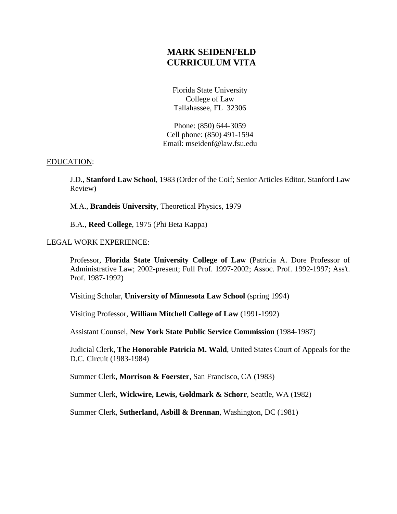# **MARK SEIDENFELD CURRICULUM VITA**

Florida State University College of Law Tallahassee, FL 32306

Phone: (850) 644-3059 Cell phone: (850) 491-1594 Email: mseidenf@law.fsu.edu

## EDUCATION:

J.D., **Stanford Law School**, 1983 (Order of the Coif; Senior Articles Editor, Stanford Law Review)

M.A., **Brandeis University**, Theoretical Physics, 1979

B.A., **Reed College**, 1975 (Phi Beta Kappa)

### LEGAL WORK EXPERIENCE:

Professor, **Florida State University College of Law** (Patricia A. Dore Professor of Administrative Law; 2002-present; Full Prof. 1997-2002; Assoc. Prof. 1992-1997; Ass't. Prof. 1987-1992)

Visiting Scholar, **University of Minnesota Law School** (spring 1994)

Visiting Professor, **William Mitchell College of Law** (1991-1992)

Assistant Counsel, **New York State Public Service Commission** (1984-1987)

Judicial Clerk, **The Honorable Patricia M. Wald**, United States Court of Appeals for the D.C. Circuit (1983-1984)

Summer Clerk, **Morrison & Foerster**, San Francisco, CA (1983)

Summer Clerk, **Wickwire, Lewis, Goldmark & Schorr**, Seattle, WA (1982)

Summer Clerk, **Sutherland, Asbill & Brennan**, Washington, DC (1981)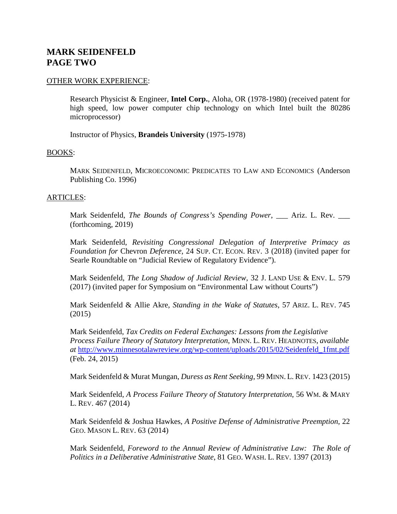# **MARK SEIDENFELD PAGE TWO**

### OTHER WORK EXPERIENCE:

Research Physicist & Engineer, **Intel Corp.**, Aloha, OR (1978-1980) (received patent for high speed, low power computer chip technology on which Intel built the 80286 microprocessor)

Instructor of Physics, **Brandeis University** (1975-1978)

#### BOOKS:

MARK SEIDENFELD, MICROECONOMIC PREDICATES TO LAW AND ECONOMICS (Anderson Publishing Co. 1996)

### ARTICLES:

Mark Seidenfeld, *The Bounds of Congress's Spending Power*, <u>\_\_</u> Ariz. L. Rev. \_\_ (forthcoming, 2019)

Mark Seidenfeld, *Revisiting Congressional Delegation of Interpretive Primacy as Foundation for* Chevron *Deference*, 24 SUP. CT. ECON. REV. 3 (2018) (invited paper for Searle Roundtable on "Judicial Review of Regulatory Evidence").

Mark Seidenfeld, *The Long Shadow of Judicial Review*, 32 J. LAND USE & ENV. L. 579 (2017) (invited paper for Symposium on "Environmental Law without Courts")

Mark Seidenfeld & Allie Akre, *Standing in the Wake of Statutes*, 57 ARIZ. L. REV. 745 (2015)

Mark Seidenfeld, *Tax Credits on Federal Exchanges: Lessons from the Legislative Process Failure Theory of Statutory Interpretation*, MINN. L. REV. HEADNOTES, *available at* [http://www.minnesotalawreview.org/wp-content/uploads/2015/02/Seidenfeld\\_1fmt.pdf](http://www.minnesotalawreview.org/wp-content/uploads/2015/02/Seidenfeld_1fmt.pdf) (Feb. 24, 2015)

Mark Seidenfeld & Murat Mungan, *Duress as Rent Seeking*, 99 MINN. L. REV. 1423 (2015)

Mark Seidenfeld, *A Process Failure Theory of Statutory Interpretation*, 56 WM. & MARY L. REV. 467 (2014)

Mark Seidenfeld & Joshua Hawkes, *A Positive Defense of Administrative Preemption*, 22 GEO. MASON L. REV. 63 (2014)

Mark Seidenfeld, *Foreword to the Annual Review of Administrative Law: The Role of Politics in a Deliberative Administrative State*, 81 GEO. WASH. L. REV. 1397 (2013)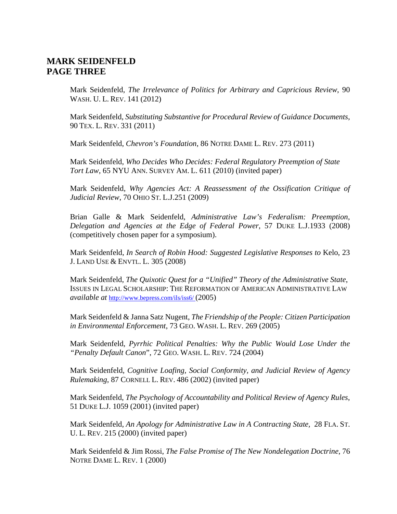## **MARK SEIDENFELD PAGE THREE**

Mark Seidenfeld, *The Irrelevance of Politics for Arbitrary and Capricious Review*, 90 WASH. U. L. REV. 141 (2012)

Mark Seidenfeld, *Substituting Substantive for Procedural Review of Guidance Documents*, 90 TEX. L. REV. 331 (2011)

Mark Seidenfeld, *Chevron's Foundation*, 86 NOTRE DAME L. REV. 273 (2011)

Mark Seidenfeld, *Who Decides Who Decides: Federal Regulatory Preemption of State Tort Law*, 65 NYU ANN. SURVEY AM. L. 611 (2010) (invited paper)

Mark Seidenfeld, *Why Agencies Act: A Reassessment of the Ossification Critique of Judicial Review*, 70 OHIO ST. L.J.251 (2009)

Brian Galle & Mark Seidenfeld, *Administrative Law's Federalism: Preemption, Delegation and Agencies at the Edge of Federal Power*, 57 DUKE L.J.1933 (2008) (competitively chosen paper for a symposium).

Mark Seidenfeld, *In Search of Robin Hood: Suggested Legislative Responses to* Kelo, 23 J. LAND USE & ENVTL. L. 305 (2008)

Mark Seidenfeld, *The Quixotic Quest for a "Unified" Theory of the Administrative State*, ISSUES IN LEGAL SCHOLARSHIP: THE REFORMATION OF AMERICAN ADMINISTRATIVE LAW *available at* <http://www.bepress.com/ils/iss6/> (2005)

Mark Seidenfeld & Janna Satz Nugent, *The Friendship of the People: Citizen Participation in Environmental Enforcement*, 73 GEO. WASH. L. REV. 269 (2005)

Mark Seidenfeld, *Pyrrhic Political Penalties: Why the Public Would Lose Under the "Penalty Default Canon*", 72 GEO. WASH. L. REV. 724 (2004)

Mark Seidenfeld, *Cognitive Loafing, Social Conformity, and Judicial Review of Agency Rulemaking*, 87 CORNELL L. REV. 486 (2002) (invited paper)

Mark Seidenfeld, *The Psychology of Accountability and Political Review of Agency Rules*, 51 DUKE L.J. 1059 (2001) (invited paper)

Mark Seidenfeld, *An Apology for Administrative Law in A Contracting State,* 28 FLA. ST. U. L. REV. 215 (2000) (invited paper)

Mark Seidenfeld & Jim Rossi, *The False Promise of The New Nondelegation Doctrine*, 76 NOTRE DAME L. REV. 1 (2000)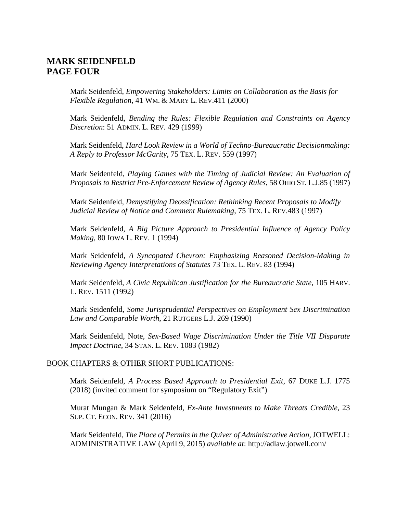## **MARK SEIDENFELD PAGE FOUR**

Mark Seidenfeld, *Empowering Stakeholders: Limits on Collaboration as the Basis for Flexible Regulation*, 41 WM. & MARY L. REV.411 (2000)

Mark Seidenfeld, *Bending the Rules: Flexible Regulation and Constraints on Agency Discretion*: 51 ADMIN. L. REV. 429 (1999)

Mark Seidenfeld, *Hard Look Review in a World of Techno-Bureaucratic Decisionmaking: A Reply to Professor McGarity*, 75 TEX. L. REV. 559 (1997)

Mark Seidenfeld, *Playing Games with the Timing of Judicial Review: An Evaluation of Proposals to Restrict Pre-Enforcement Review of Agency Rules*, 58 OHIO ST. L.J.85 (1997)

Mark Seidenfeld, *Demystifying Deossification: Rethinking Recent Proposals to Modify Judicial Review of Notice and Comment Rulemaking*, 75 TEX. L. REV.483 (1997)

Mark Seidenfeld, *A Big Picture Approach to Presidential Influence of Agency Policy Making*, 80 IOWA L. REV. 1 (1994)

Mark Seidenfeld, *A Syncopated Chevron: Emphasizing Reasoned Decision-Making in Reviewing Agency Interpretations of Statutes* 73 TEX. L. REV. 83 (1994)

Mark Seidenfeld, *A Civic Republican Justification for the Bureaucratic State*, 105 HARV. L. REV. 1511 (1992)

Mark Seidenfeld, *Some Jurisprudential Perspectives on Employment Sex Discrimination Law and Comparable Worth*, 21 RUTGERS L.J. 269 (1990)

Mark Seidenfeld, Note*, Sex-Based Wage Discrimination Under the Title VII Disparate Impact Doctrine*, 34 STAN. L. REV. 1083 (1982)

#### BOOK CHAPTERS & OTHER SHORT PUBLICATIONS:

Mark Seidenfeld, *A Process Based Approach to Presidential Exit*, 67 DUKE L.J. 1775 (2018) (invited comment for symposium on "Regulatory Exit")

Murat Mungan & Mark Seidenfeld, *Ex-Ante Investments to Make Threats Credible*, 23 SUP. CT. ECON. REV. 341 (2016)

Mark Seidenfeld, *The Place of Permits in the Quiver of Administrative Action*, JOTWELL: ADMINISTRATIVE LAW (April 9, 2015) *available at*: http://adlaw.jotwell.com/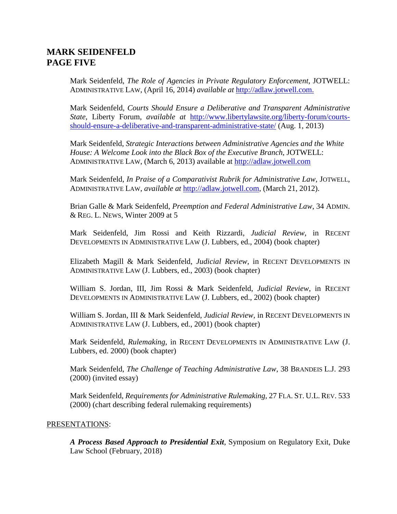# **MARK SEIDENFELD PAGE FIVE**

Mark Seidenfeld, *The Role of Agencies in Private Regulatory Enforcement*, JOTWELL: ADMINISTRATIVE LAW, (April 16, 2014) *available at* [http://adlaw.jotwell.com.](http://adlaw.jotwell.com/)

Mark Seidenfeld, *Courts Should Ensure a Deliberative and Transparent Administrative State*, Liberty Forum, *available at* [http://www.libertylawsite.org/liberty-forum/courts](http://www.libertylawsite.org/liberty-forum/courts-should-ensure-a-deliberative-and-transparent-administrative-state/)[should-ensure-a-deliberative-and-transparent-administrative-state/](http://www.libertylawsite.org/liberty-forum/courts-should-ensure-a-deliberative-and-transparent-administrative-state/) (Aug. 1, 2013)

Mark Seidenfeld, *Strategic Interactions between Administrative Agencies and the White House: A Welcome Look into the Black Box of the Executive Branch*, JOTWELL: ADMINISTRATIVE LAW, (March 6, 2013) available at [http://adlaw.jotwell.com](http://adlaw.jotwell.com/)

Mark Seidenfeld, *In Praise of a Comparativist Rubrik for Administrative Law,* JOTWELL, ADMINISTRATIVE LAW, *available at* [http://adlaw.jotwell.com,](http://adlaw.jotwell.com/) (March 21, 2012).

Brian Galle & Mark Seidenfeld, *Preemption and Federal Administrative Law*, 34 ADMIN. & REG. L. NEWS, Winter 2009 at 5

Mark Seidenfeld, Jim Rossi and Keith Rizzardi, *Judicial Review*, in RECENT DEVELOPMENTS IN ADMINISTRATIVE LAW (J. Lubbers, ed., 2004) (book chapter)

Elizabeth Magill & Mark Seidenfeld, *Judicial Review*, in RECENT DEVELOPMENTS IN ADMINISTRATIVE LAW (J. Lubbers, ed., 2003) (book chapter)

William S. Jordan, III, Jim Rossi & Mark Seidenfeld, *Judicial Review*, in RECENT DEVELOPMENTS IN ADMINISTRATIVE LAW (J. Lubbers, ed., 2002) (book chapter)

William S. Jordan, III & Mark Seidenfeld, *Judicial Review*, in RECENT DEVELOPMENTS IN ADMINISTRATIVE LAW (J. Lubbers, ed., 2001) (book chapter)

Mark Seidenfeld, *Rulemaking*, in RECENT DEVELOPMENTS IN ADMINISTRATIVE LAW (J. Lubbers, ed. 2000) (book chapter)

Mark Seidenfeld, *The Challenge of Teaching Administrative Law*, 38 BRANDEIS L.J. 293 (2000) (invited essay)

Mark Seidenfeld, *Requirements for Administrative Rulemaking*, 27 FLA. ST. U.L. REV. 533 (2000) (chart describing federal rulemaking requirements)

## PRESENTATIONS:

*A Process Based Approach to Presidential Exit*, Symposium on Regulatory Exit, Duke Law School (February, 2018)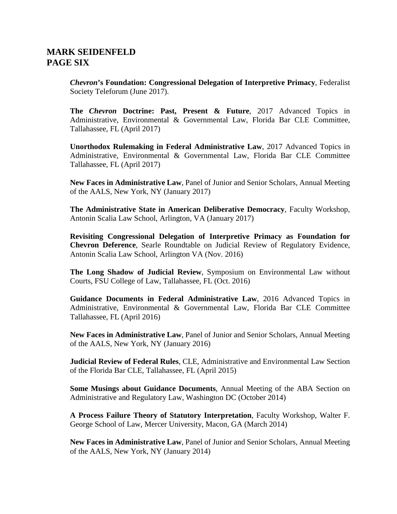# **MARK SEIDENFELD PAGE SIX**

*Chevron***'s Foundation: Congressional Delegation of Interpretive Primacy**, Federalist Society Teleforum (June 2017).

**The** *Chevron* **Doctrine: Past, Present & Future**, 2017 Advanced Topics in Administrative, Environmental & Governmental Law, Florida Bar CLE Committee, Tallahassee, FL (April 2017)

**Unorthodox Rulemaking in Federal Administrative Law**, 2017 Advanced Topics in Administrative, Environmental & Governmental Law, Florida Bar CLE Committee Tallahassee, FL (April 2017)

**New Faces in Administrative Law**, Panel of Junior and Senior Scholars, Annual Meeting of the AALS, New York, NY (January 2017)

**The Administrative State in American Deliberative Democracy**, Faculty Workshop, Antonin Scalia Law School, Arlington, VA (January 2017)

**Revisiting Congressional Delegation of Interpretive Primacy as Foundation for Chevron Deference**, Searle Roundtable on Judicial Review of Regulatory Evidence, Antonin Scalia Law School, Arlington VA (Nov. 2016)

**The Long Shadow of Judicial Review**, Symposium on Environmental Law without Courts, FSU College of Law, Tallahassee, FL (Oct. 2016)

**Guidance Documents in Federal Administrative Law**, 2016 Advanced Topics in Administrative, Environmental & Governmental Law, Florida Bar CLE Committee Tallahassee, FL (April 2016)

**New Faces in Administrative Law**, Panel of Junior and Senior Scholars, Annual Meeting of the AALS, New York, NY (January 2016)

**Judicial Review of Federal Rules**, CLE, Administrative and Environmental Law Section of the Florida Bar CLE, Tallahassee, FL (April 2015)

**Some Musings about Guidance Documents**, Annual Meeting of the ABA Section on Administrative and Regulatory Law, Washington DC (October 2014)

**A Process Failure Theory of Statutory Interpretation**, Faculty Workshop, Walter F. George School of Law, Mercer University, Macon, GA (March 2014)

**New Faces in Administrative Law**, Panel of Junior and Senior Scholars, Annual Meeting of the AALS, New York, NY (January 2014)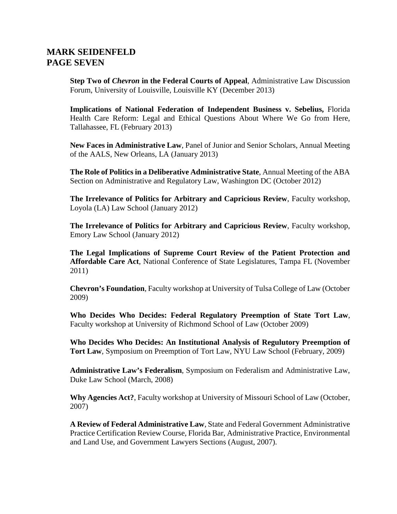## **MARK SEIDENFELD PAGE SEVEN**

**Step Two of** *Chevron* **in the Federal Courts of Appeal**, Administrative Law Discussion Forum, University of Louisville, Louisville KY (December 2013)

**Implications of National Federation of Independent Business v. Sebelius,** Florida Health Care Reform: Legal and Ethical Questions About Where We Go from Here, Tallahassee, FL (February 2013)

**New Faces in Administrative Law**, Panel of Junior and Senior Scholars, Annual Meeting of the AALS, New Orleans, LA (January 2013)

**The Role of Politics in a Deliberative Administrative State**, Annual Meeting of the ABA Section on Administrative and Regulatory Law, Washington DC (October 2012)

**The Irrelevance of Politics for Arbitrary and Capricious Review**, Faculty workshop, Loyola (LA) Law School (January 2012)

**The Irrelevance of Politics for Arbitrary and Capricious Review**, Faculty workshop, Emory Law School (January 2012)

**The Legal Implications of Supreme Court Review of the Patient Protection and Affordable Care Act**, National Conference of State Legislatures, Tampa FL (November 2011)

**Chevron's Foundation**, Faculty workshop at University of Tulsa College of Law (October 2009)

**Who Decides Who Decides: Federal Regulatory Preemption of State Tort Law**, Faculty workshop at University of Richmond School of Law (October 2009)

**Who Decides Who Decides: An Institutional Analysis of Regulutory Preemption of Tort Law**, Symposium on Preemption of Tort Law, NYU Law School (February, 2009)

**Administrative Law's Federalism**, Symposium on Federalism and Administrative Law, Duke Law School (March, 2008)

**Why Agencies Act?**, Faculty workshop at University of Missouri School of Law (October, 2007)

**A Review of Federal Administrative Law**, State and Federal Government Administrative Practice Certification Review Course, Florida Bar, Administrative Practice, Environmental and Land Use, and Government Lawyers Sections (August, 2007).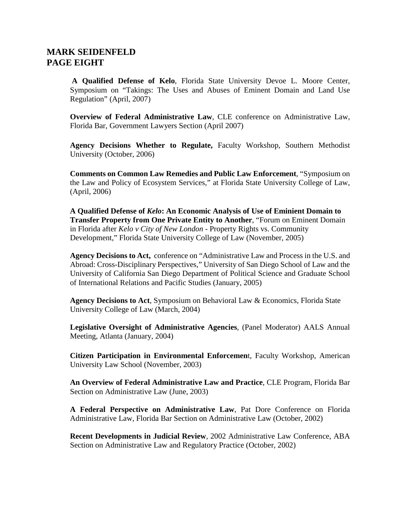## **MARK SEIDENFELD PAGE EIGHT**

**A Qualified Defense of Kelo**, Florida State University Devoe L. Moore Center, Symposium on "Takings: The Uses and Abuses of Eminent Domain and Land Use Regulation" (April, 2007)

**Overview of Federal Administrative Law**, CLE conference on Administrative Law, Florida Bar, Government Lawyers Section (April 2007)

**Agency Decisions Whether to Regulate,** Faculty Workshop, Southern Methodist University (October, 2006)

**Comments on Common Law Remedies and Public Law Enforcement**, "Symposium on the Law and Policy of Ecosystem Services," at Florida State University College of Law, (April, 2006)

**A Qualified Defense of** *Kelo***: An Economic Analysis of Use of Eminient Domain to Transfer Property from One Private Entity to Another**, "Forum on Eminent Domain in Florida after *Kelo v City of New London* - Property Rights vs. Community Development," Florida State University College of Law (November, 2005)

**Agency Decisions to Act,** conference on "Administrative Law and Process in the U.S. and Abroad: Cross-Disciplinary Perspectives," University of San Diego School of Law and the University of California San Diego Department of Political Science and Graduate School of International Relations and Pacific Studies (January, 2005)

**Agency Decisions to Act**, Symposium on Behavioral Law & Economics, Florida State University College of Law (March, 2004)

**Legislative Oversight of Administrative Agencies**, (Panel Moderator) AALS Annual Meeting, Atlanta (January, 2004)

**Citizen Participation in Environmental Enforcemen**t, Faculty Workshop, American University Law School (November, 2003)

**An Overview of Federal Administrative Law and Practice**, CLE Program, Florida Bar Section on Administrative Law (June, 2003)

**A Federal Perspective on Administrative Law**, Pat Dore Conference on Florida Administrative Law, Florida Bar Section on Administrative Law (October, 2002)

**Recent Developments in Judicial Review**, 2002 Administrative Law Conference, ABA Section on Administrative Law and Regulatory Practice (October, 2002)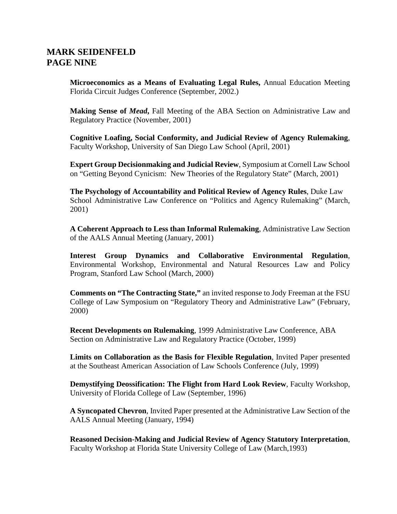# **MARK SEIDENFELD PAGE NINE**

**Microeconomics as a Means of Evaluating Legal Rules,** Annual Education Meeting Florida Circuit Judges Conference (September, 2002.)

**Making Sense of** *Mead***,** Fall Meeting of the ABA Section on Administrative Law and Regulatory Practice (November, 2001)

**Cognitive Loafing, Social Conformity, and Judicial Review of Agency Rulemaking**, Faculty Workshop, University of San Diego Law School (April, 2001)

**Expert Group Decisionmaking and Judicial Review**, Symposium at Cornell Law School on "Getting Beyond Cynicism: New Theories of the Regulatory State" (March, 2001)

**The Psychology of Accountability and Political Review of Agency Rules**, Duke Law School Administrative Law Conference on "Politics and Agency Rulemaking" (March, 2001)

**A Coherent Approach to Less than Informal Rulemaking**, Administrative Law Section of the AALS Annual Meeting (January, 2001)

**Interest Group Dynamics and Collaborative Environmental Regulation**, Environmental Workshop, Environmental and Natural Resources Law and Policy Program, Stanford Law School (March, 2000)

**Comments on "The Contracting State,"** an invited response to Jody Freeman at the FSU College of Law Symposium on "Regulatory Theory and Administrative Law" (February, 2000)

**Recent Developments on Rulemaking**, 1999 Administrative Law Conference, ABA Section on Administrative Law and Regulatory Practice (October, 1999)

**Limits on Collaboration as the Basis for Flexible Regulation**, Invited Paper presented at the Southeast American Association of Law Schools Conference (July, 1999)

**Demystifying Deossification: The Flight from Hard Look Review**, Faculty Workshop, University of Florida College of Law (September, 1996)

**A Syncopated Chevron**, Invited Paper presented at the Administrative Law Section of the AALS Annual Meeting (January, 1994)

**Reasoned Decision-Making and Judicial Review of Agency Statutory Interpretation**, Faculty Workshop at Florida State University College of Law (March,1993)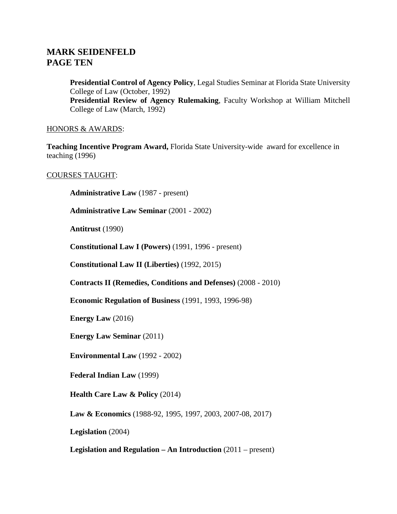# **MARK SEIDENFELD PAGE TEN**

**Presidential Control of Agency Policy**, Legal Studies Seminar at Florida State University College of Law (October, 1992) **Presidential Review of Agency Rulemaking**, Faculty Workshop at William Mitchell

College of Law (March, 1992)

## HONORS & AWARDS:

**Teaching Incentive Program Award,** Florida State University-wide award for excellence in teaching (1996)

## COURSES TAUGHT:

**Administrative Law** (1987 - present)

**Administrative Law Seminar** (2001 - 2002)

**Antitrust** (1990)

**Constitutional Law I (Powers)** (1991, 1996 - present)

**Constitutional Law II (Liberties)** (1992, 2015)

**Contracts II (Remedies, Conditions and Defenses)** (2008 - 2010)

**Economic Regulation of Business** (1991, 1993, 1996-98)

**Energy Law** (2016)

**Energy Law Seminar** (2011)

**Environmental Law** (1992 - 2002)

**Federal Indian Law** (1999)

**Health Care Law & Policy (2014)** 

**Law & Economics** (1988-92, 1995, 1997, 2003, 2007-08, 2017)

**Legislation** (2004)

**Legislation and Regulation – An Introduction** (2011 – present)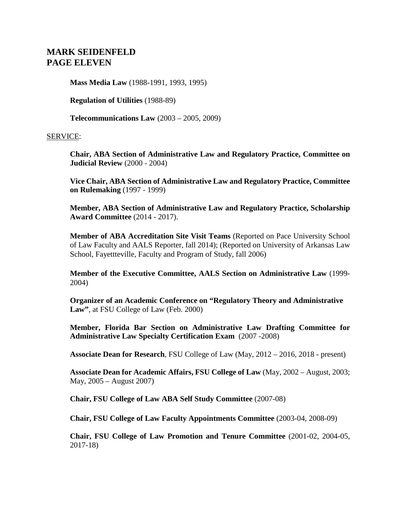# **MARK SEIDENFELD PAGE ELEVEN**

**Mass Media Law** (1988-1991, 1993, 1995)

**Regulation of Utilities** (1988-89)

**Telecommunications Law** (2003 – 2005, 2009)

### SERVICE:

**Chair, ABA Section of Administrative Law and Regulatory Practice, Committee on Judicial Review** (2000 - 2004)

**Vice Chair, ABA Section of Administrative Law and Regulatory Practice, Committee on Rulemaking** (1997 - 1999)

**Member, ABA Section of Administrative Law and Regulatory Practice, Scholarship Award Committee** (2014 - 2017).

**Member of ABA Accreditation Site Visit Teams** (Reported on Pace University School of Law Faculty and AALS Reporter, fall 2014); (Reported on University of Arkansas Law School, Fayettteville, Faculty and Program of Study, fall 2006)

**Member of the Executive Committee, AALS Section on Administrative Law** (1999- 2004)

**Organizer of an Academic Conference on "Regulatory Theory and Administrative Law"**, at FSU College of Law (Feb. 2000)

**Member, Florida Bar Section on Administrative Law Drafting Committee for Administrative Law Specialty Certification Exam** (2007 -2008)

**Associate Dean for Research**, FSU College of Law (May, 2012 – 2016, 2018 - present)

**Associate Dean for Academic Affairs, FSU College of Law** (May, 2002 – August, 2003; May, 2005 – August 2007)

**Chair, FSU College of Law ABA Self Study Committee** (2007-08)

**Chair, FSU College of Law Faculty Appointments Committee** (2003-04, 2008-09)

**Chair, FSU College of Law Promotion and Tenure Committee** (2001-02, 2004-05, 2017-18)